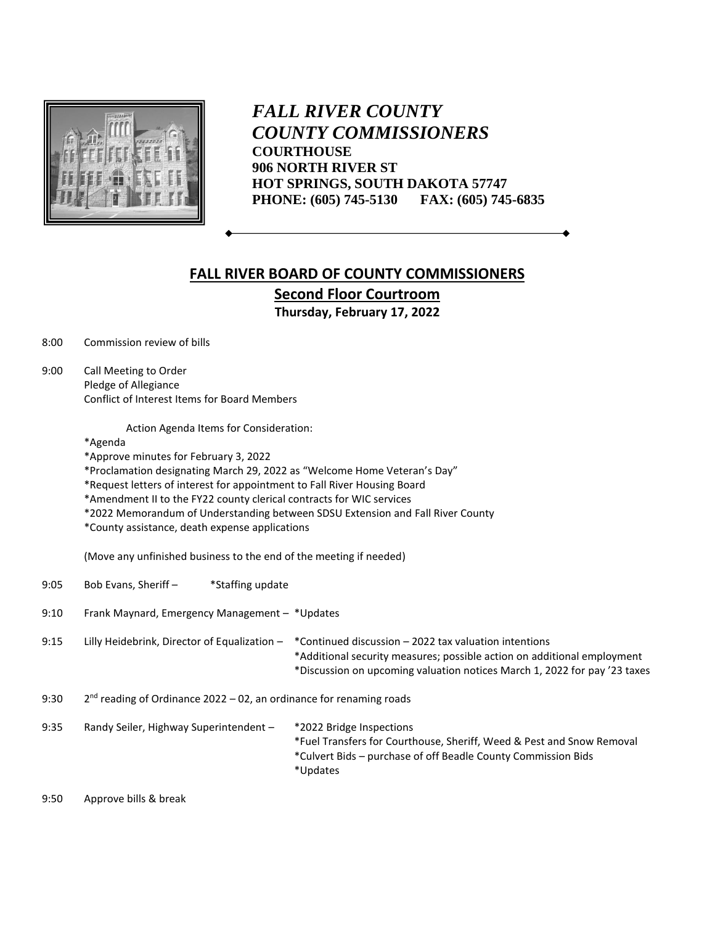

*FALL RIVER COUNTY COUNTY COMMISSIONERS* **COURTHOUSE 906 NORTH RIVER ST HOT SPRINGS, SOUTH DAKOTA 57747 PHONE: (605) 745-5130 FAX: (605) 745-6835**

## **FALL RIVER BOARD OF COUNTY COMMISSIONERS Second Floor Courtroom Thursday, February 17, 2022**

8:00 Commission review of bills

9:00 Call Meeting to Order Pledge of Allegiance Conflict of Interest Items for Board Members

Action Agenda Items for Consideration:

\*Agenda

\*Approve minutes for February 3, 2022

\*Proclamation designating March 29, 2022 as "Welcome Home Veteran's Day"

- \*Request letters of interest for appointment to Fall River Housing Board
- \*Amendment II to the FY22 county clerical contracts for WIC services
- \*2022 Memorandum of Understanding between SDSU Extension and Fall River County
- \*County assistance, death expense applications

(Move any unfinished business to the end of the meeting if needed)

| 9:05 | Bob Evans, Sheriff -                                                  | *Staffing update |                                                                                                                                                                                                               |
|------|-----------------------------------------------------------------------|------------------|---------------------------------------------------------------------------------------------------------------------------------------------------------------------------------------------------------------|
| 9:10 | Frank Maynard, Emergency Management - *Updates                        |                  |                                                                                                                                                                                                               |
| 9:15 | Lilly Heidebrink, Director of Equalization -                          |                  | *Continued discussion – 2022 tax valuation intentions<br>*Additional security measures; possible action on additional employment<br>*Discussion on upcoming valuation notices March 1, 2022 for pay '23 taxes |
| 9:30 | $2nd$ reading of Ordinance 2022 – 02, an ordinance for renaming roads |                  |                                                                                                                                                                                                               |
| 9:35 | Randy Seiler, Highway Superintendent -                                |                  | *2022 Bridge Inspections<br>*Fuel Transfers for Courthouse, Sheriff, Weed & Pest and Snow Removal<br>*Culvert Bids – purchase of off Beadle County Commission Bids<br>*Updates                                |

9:50 Approve bills & break